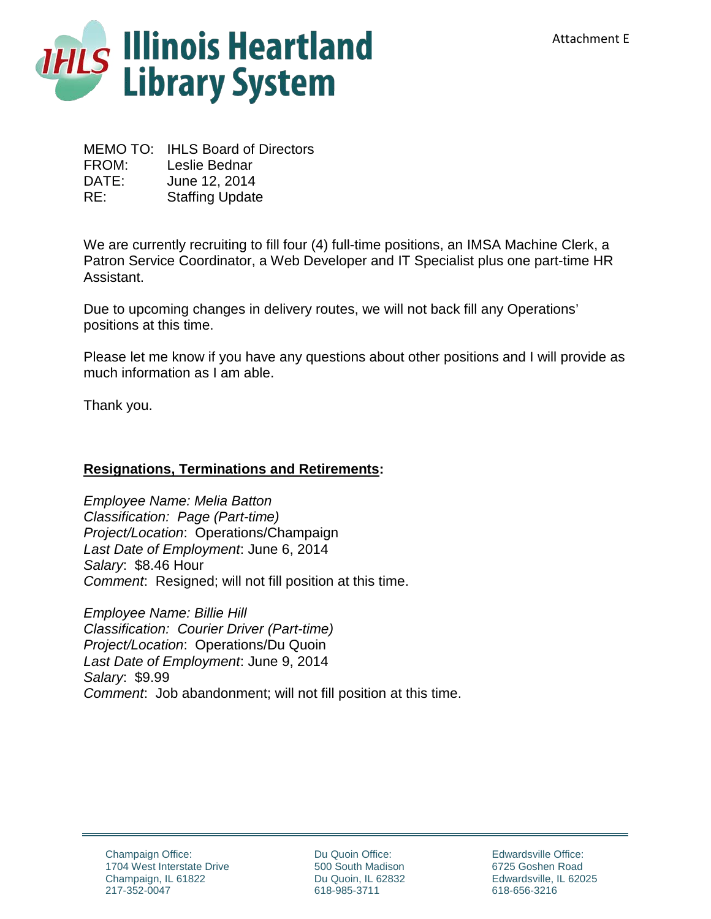

MEMO TO: IHLS Board of Directors FROM: Leslie Bednar DATE: June 12, 2014 RE: Staffing Update

We are currently recruiting to fill four (4) full-time positions, an IMSA Machine Clerk, a Patron Service Coordinator, a Web Developer and IT Specialist plus one part-time HR Assistant.

Due to upcoming changes in delivery routes, we will not back fill any Operations' positions at this time.

Please let me know if you have any questions about other positions and I will provide as much information as I am able.

Thank you.

## **Resignations, Terminations and Retirements:**

*Employee Name: Melia Batton Classification: Page (Part-time) Project/Location*: Operations/Champaign *Last Date of Employment*: June 6, 2014 *Salary*: \$8.46 Hour *Comment*: Resigned; will not fill position at this time.

*Employee Name: Billie Hill Classification: Courier Driver (Part-time) Project/Location*: Operations/Du Quoin *Last Date of Employment*: June 9, 2014 *Salary*: \$9.99 *Comment*: Job abandonment; will not fill position at this time.

Du Quoin Office: 500 South Madison Du Quoin, IL 62832 618-985-3711

Edwardsville Office: 6725 Goshen Road Edwardsville, IL 62025 618-656-3216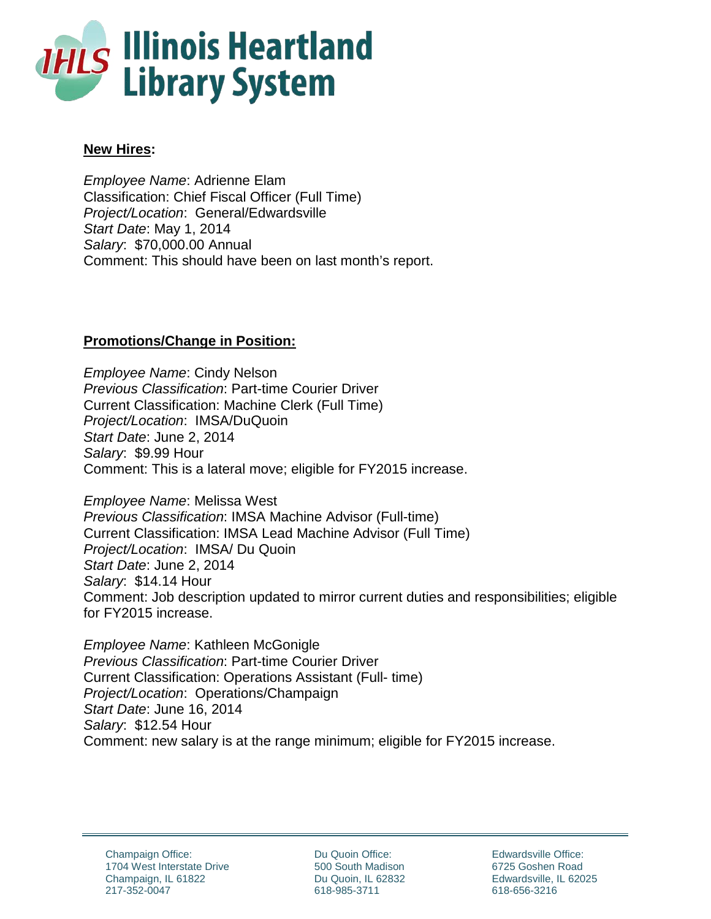

## **New Hires:**

*Employee Name*: Adrienne Elam Classification: Chief Fiscal Officer (Full Time) *Project/Location*: General/Edwardsville *Start Date*: May 1, 2014 *Salary*: \$70,000.00 Annual Comment: This should have been on last month's report.

## **Promotions/Change in Position:**

*Employee Name*: Cindy Nelson *Previous Classification*: Part-time Courier Driver Current Classification: Machine Clerk (Full Time) *Project/Location*: IMSA/DuQuoin *Start Date*: June 2, 2014 *Salary*: \$9.99 Hour Comment: This is a lateral move; eligible for FY2015 increase.

*Employee Name*: Melissa West *Previous Classification*: IMSA Machine Advisor (Full-time) Current Classification: IMSA Lead Machine Advisor (Full Time) *Project/Location*: IMSA/ Du Quoin *Start Date*: June 2, 2014 *Salary*: \$14.14 Hour Comment: Job description updated to mirror current duties and responsibilities; eligible for FY2015 increase.

*Employee Name*: Kathleen McGonigle *Previous Classification*: Part-time Courier Driver Current Classification: Operations Assistant (Full- time) *Project/Location*: Operations/Champaign *Start Date*: June 16, 2014 *Salary*: \$12.54 Hour Comment: new salary is at the range minimum; eligible for FY2015 increase.

Du Quoin Office: 500 South Madison Du Quoin, IL 62832 618-985-3711

Edwardsville Office: 6725 Goshen Road Edwardsville, IL 62025 618-656-3216